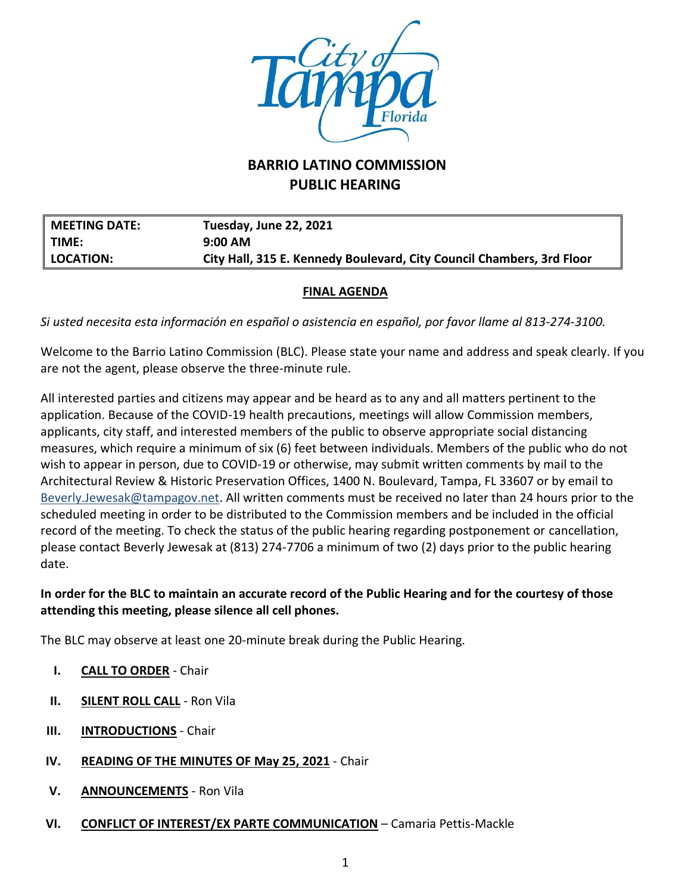

# **BARRIO LATINO COMMISSION PUBLIC HEARING**

| <b>MEETING DATE:</b> | <b>Tuesday, June 22, 2021</b>                                         |
|----------------------|-----------------------------------------------------------------------|
| TIME:                | $9:00$ AM                                                             |
| LOCATION:            | City Hall, 315 E. Kennedy Boulevard, City Council Chambers, 3rd Floor |

#### **FINAL AGENDA**

*Si usted necesita esta información en español o asistencia en español, por favor llame al 813-274-3100.*

Welcome to the Barrio Latino Commission (BLC). Please state your name and address and speak clearly. If you are not the agent, please observe the three-minute rule.

All interested parties and citizens may appear and be heard as to any and all matters pertinent to the application. Because of the COVID-19 health precautions, meetings will allow Commission members, applicants, city staff, and interested members of the public to observe appropriate social distancing measures, which require a minimum of six (6) feet between individuals. Members of the public who do not wish to appear in person, due to COVID-19 or otherwise, may submit written comments by mail to the Architectural Review & Historic Preservation Offices, 1400 N. Boulevard, Tampa, FL 33607 or by email to [Beverly.Jewesak@tampagov.net.](mailto:Beverly.Jewesak@tampagov.net) All written comments must be received no later than 24 hours prior to the scheduled meeting in order to be distributed to the Commission members and be included in the official record of the meeting. To check the status of the public hearing regarding postponement or cancellation, please contact Beverly Jewesak at (813) 274-7706 a minimum of two (2) days prior to the public hearing date.

### **In order for the BLC to maintain an accurate record of the Public Hearing and for the courtesy of those attending this meeting, please silence all cell phones.**

The BLC may observe at least one 20-minute break during the Public Hearing.

- **I. CALL TO ORDER** Chair
- **II. SILENT ROLL CALL** Ron Vila
- **III. INTRODUCTIONS** Chair
- **IV. READING OF THE MINUTES OF May 25, 2021** Chair
- **V. ANNOUNCEMENTS** Ron Vila
- **VI. CONFLICT OF INTEREST/EX PARTE COMMUNICATION** Camaria Pettis-Mackle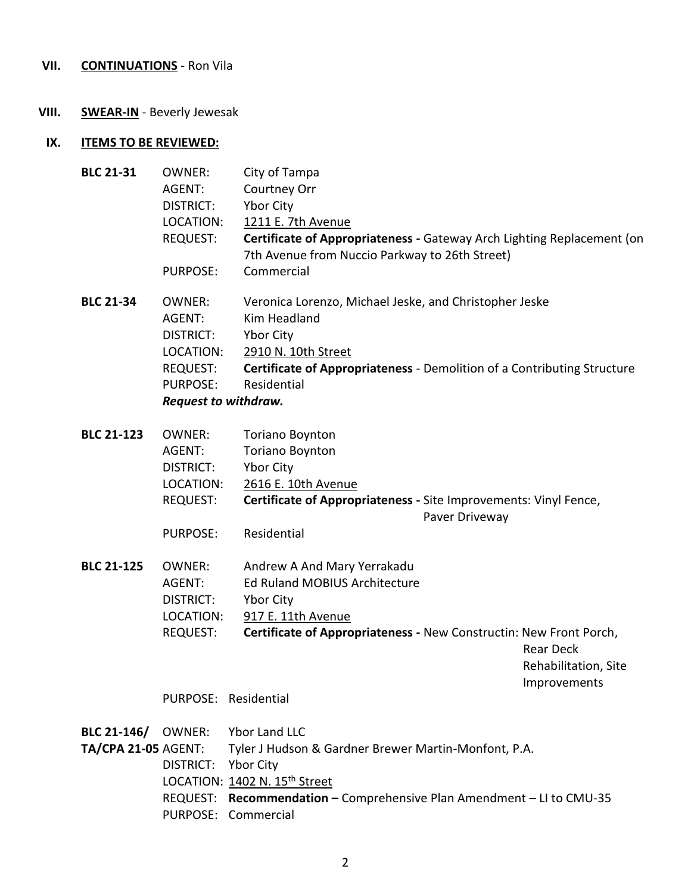## **VII. CONTINUATIONS** - Ron Vila

## **VIII. SWEAR-IN** - Beverly Jewesak

## **IX. ITEMS TO BE REVIEWED:**

| <b>BLC 21-31</b>           | <b>OWNER:</b>               | City of Tampa                                                                      |  |
|----------------------------|-----------------------------|------------------------------------------------------------------------------------|--|
|                            | AGENT:                      | Courtney Orr                                                                       |  |
|                            | <b>DISTRICT:</b>            | Ybor City                                                                          |  |
|                            | LOCATION:                   | 1211 E. 7th Avenue                                                                 |  |
|                            | <b>REQUEST:</b>             | Certificate of Appropriateness - Gateway Arch Lighting Replacement (on             |  |
|                            |                             | 7th Avenue from Nuccio Parkway to 26th Street)                                     |  |
|                            | <b>PURPOSE:</b>             | Commercial                                                                         |  |
| <b>BLC 21-34</b>           | <b>OWNER:</b>               | Veronica Lorenzo, Michael Jeske, and Christopher Jeske                             |  |
|                            | AGENT:                      | <b>Kim Headland</b>                                                                |  |
|                            | DISTRICT:                   | Ybor City                                                                          |  |
|                            | LOCATION:                   | 2910 N. 10th Street                                                                |  |
|                            | REQUEST:                    | Certificate of Appropriateness - Demolition of a Contributing Structure            |  |
|                            | <b>PURPOSE:</b>             | Residential                                                                        |  |
|                            | <b>Request to withdraw.</b> |                                                                                    |  |
| <b>BLC 21-123</b>          | <b>OWNER:</b>               | <b>Toriano Boynton</b>                                                             |  |
|                            | AGENT:                      | <b>Toriano Boynton</b>                                                             |  |
|                            | DISTRICT:                   | <b>Ybor City</b>                                                                   |  |
|                            | LOCATION:                   | 2616 E. 10th Avenue                                                                |  |
|                            | <b>REQUEST:</b>             | Certificate of Appropriateness - Site Improvements: Vinyl Fence,<br>Paver Driveway |  |
|                            | <b>PURPOSE:</b>             | Residential                                                                        |  |
| <b>BLC 21-125</b>          | <b>OWNER:</b>               | Andrew A And Mary Yerrakadu                                                        |  |
|                            | AGENT:                      | <b>Ed Ruland MOBIUS Architecture</b>                                               |  |
|                            | DISTRICT:                   | Ybor City                                                                          |  |
|                            | LOCATION:                   | 917 E. 11th Avenue                                                                 |  |
|                            | <b>REQUEST:</b>             | Certificate of Appropriateness - New Constructin: New Front Porch,                 |  |
|                            |                             | <b>Rear Deck</b>                                                                   |  |
|                            |                             | Rehabilitation, Site                                                               |  |
|                            |                             | Improvements                                                                       |  |
|                            |                             | PURPOSE: Residential                                                               |  |
| BLC 21-146/                | OWNER:                      | Ybor Land LLC                                                                      |  |
| <b>TA/CPA 21-05 AGENT:</b> |                             | Tyler J Hudson & Gardner Brewer Martin-Monfont, P.A.                               |  |
|                            | DISTRICT:                   | <b>Ybor City</b>                                                                   |  |
|                            |                             | LOCATION: 1402 N. 15 <sup>th</sup> Street                                          |  |
|                            |                             | REQUEST: Recommendation - Comprehensive Plan Amendment - LI to CMU-35              |  |

PURPOSE: Commercial